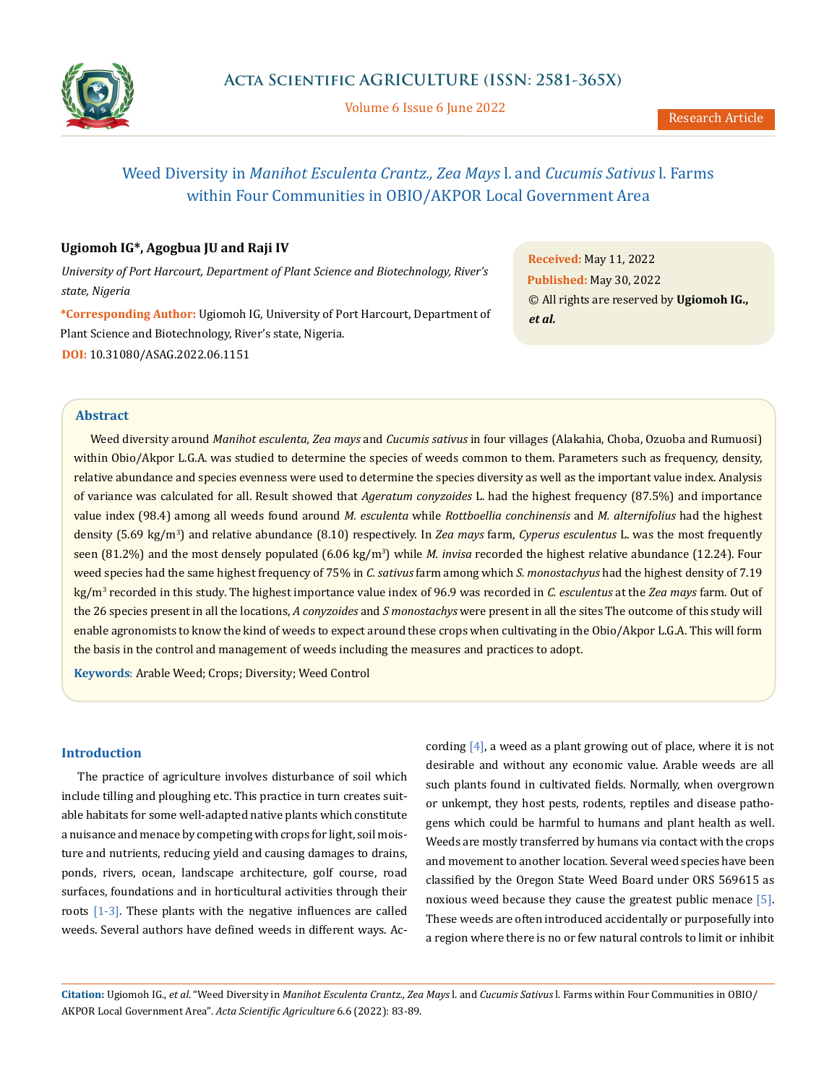

Volume 6 Issue 6 June 2022

# Weed Diversity in *Manihot Esculenta Crantz., Zea Mays* l. and *Cucumis Sativus* l. Farms within Four Communities in OBIO/AKPOR Local Government Area

# **Ugiomoh IG\*, Agogbua JU and Raji IV**

*University of Port Harcourt, Department of Plant Science and Biotechnology, River's state, Nigeria*

**\*Corresponding Author:** Ugiomoh IG, University of Port Harcourt, Department of Plant Science and Biotechnology, River's state, Nigeria. **DOI:** [10.31080/ASAG.2022.06.1151](https://actascientific.com/ASAG/pdf/ASAG-06-1151.pdf)

**Received:** May 11, 2022 **Published:** May 30, 2022 © All rights are reserved by **Ugiomoh IG.,**  *et al.*

# **Abstract**

Weed diversity around *Manihot esculenta, Zea mays* and *Cucumis sativus* in four villages (Alakahia, Choba, Ozuoba and Rumuosi) within Obio/Akpor L.G.A. was studied to determine the species of weeds common to them. Parameters such as frequency, density, relative abundance and species evenness were used to determine the species diversity as well as the important value index. Analysis of variance was calculated for all. Result showed that *Ageratum conyzoides* L. had the highest frequency (87.5%) and importance value index (98.4) among all weeds found around *M. esculenta* while *Rottboellia conchinensis* and *M. alternifolius* had the highest density (5.69 kg/m<sup>3</sup> ) and relative abundance (8.10) respectively. In *Zea mays* farm, *Cyperus esculentus* L. was the most frequently seen (81.2%) and the most densely populated (6.06 kg/m3 ) while *M. invisa* recorded the highest relative abundance (12.24). Four weed species had the same highest frequency of 75% in *C. sativus* farm among which *S. monostachyus* had the highest density of 7.19 kg/m<sup>3</sup> recorded in this study. The highest importance value index of 96.9 was recorded in *C. esculentus* at the *Zea mays* farm. Out of the 26 species present in all the locations, *A conyzoides* and *S monostachys* were present in all the sites The outcome of this study will enable agronomists to know the kind of weeds to expect around these crops when cultivating in the Obio/Akpor L.G.A. This will form the basis in the control and management of weeds including the measures and practices to adopt.

**Keywords**: Arable Weed; Crops; Diversity; Weed Control

# **Introduction**

The practice of agriculture involves disturbance of soil which include tilling and ploughing etc. This practice in turn creates suitable habitats for some well-adapted native plants which constitute a nuisance and menace by competing with crops for light, soil moisture and nutrients, reducing yield and causing damages to drains, ponds, rivers, ocean, landscape architecture, golf course, road surfaces, foundations and in horticultural activities through their roots [1-3]. These plants with the negative influences are called weeds. Several authors have defined weeds in different ways. According  $[4]$ , a weed as a plant growing out of place, where it is not desirable and without any economic value. Arable weeds are all such plants found in cultivated fields. Normally, when overgrown or unkempt, they host pests, rodents, reptiles and disease pathogens which could be harmful to humans and plant health as well. Weeds are mostly transferred by humans via contact with the crops and movement to another location. Several weed species have been classified by the Oregon State Weed Board under ORS 569615 as noxious weed because they cause the greatest public menace [5]. These weeds are often introduced accidentally or purposefully into a region where there is no or few natural controls to limit or inhibit

**Citation:** Ugiomoh IG., *et al*. "Weed Diversity in *Manihot Esculenta Crantz., Zea Mays* l. and *Cucumis Sativus* l. Farms within Four Communities in OBIO/ AKPOR Local Government Area". *Acta Scientific Agriculture* 6.6 (2022): 83-89.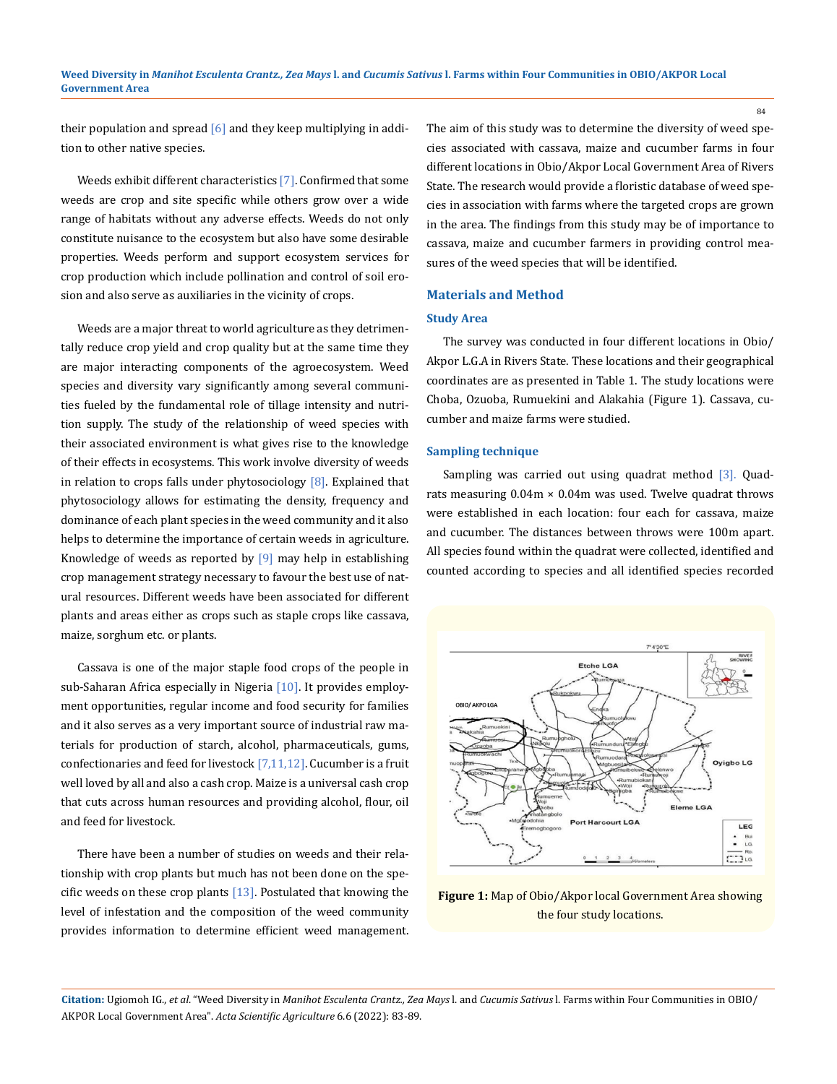their population and spread  $[6]$  and they keep multiplying in addition to other native species.

Weeds exhibit different characteristics [7]. Confirmed that some weeds are crop and site specific while others grow over a wide range of habitats without any adverse effects. Weeds do not only constitute nuisance to the ecosystem but also have some desirable properties. Weeds perform and support ecosystem services for crop production which include pollination and control of soil erosion and also serve as auxiliaries in the vicinity of crops.

Weeds are a major threat to world agriculture as they detrimentally reduce crop yield and crop quality but at the same time they are major interacting components of the agroecosystem. Weed species and diversity vary significantly among several communities fueled by the fundamental role of tillage intensity and nutrition supply. The study of the relationship of weed species with their associated environment is what gives rise to the knowledge of their effects in ecosystems. This work involve diversity of weeds in relation to crops falls under phytosociology  $[8]$ . Explained that phytosociology allows for estimating the density, frequency and dominance of each plant species in the weed community and it also helps to determine the importance of certain weeds in agriculture. Knowledge of weeds as reported by  $[9]$  may help in establishing crop management strategy necessary to favour the best use of natural resources. Different weeds have been associated for different plants and areas either as crops such as staple crops like cassava, maize, sorghum etc. or plants.

Cassava is one of the major staple food crops of the people in sub-Saharan Africa especially in Nigeria [10]. It provides employment opportunities, regular income and food security for families and it also serves as a very important source of industrial raw materials for production of starch, alcohol, pharmaceuticals, gums, confectionaries and feed for livestock  $[7,11,12]$ . Cucumber is a fruit well loved by all and also a cash crop. Maize is a universal cash crop that cuts across human resources and providing alcohol, flour, oil and feed for livestock.

There have been a number of studies on weeds and their relationship with crop plants but much has not been done on the specific weeds on these crop plants  $[13]$ . Postulated that knowing the level of infestation and the composition of the weed community provides information to determine efficient weed management.

The aim of this study was to determine the diversity of weed species associated with cassava, maize and cucumber farms in four different locations in Obio/Akpor Local Government Area of Rivers State. The research would provide a floristic database of weed species in association with farms where the targeted crops are grown in the area. The findings from this study may be of importance to cassava, maize and cucumber farmers in providing control measures of the weed species that will be identified.

#### **Materials and Method**

#### **Study Area**

The survey was conducted in four different locations in Obio/ Akpor L.G.A in Rivers State. These locations and their geographical coordinates are as presented in Table 1. The study locations were Choba, Ozuoba, Rumuekini and Alakahia (Figure 1). Cassava, cucumber and maize farms were studied.

#### **Sampling technique**

Sampling was carried out using quadrat method [3]. Quadrats measuring  $0.04m \times 0.04m$  was used. Twelve quadrat throws were established in each location: four each for cassava, maize and cucumber. The distances between throws were 100m apart. All species found within the quadrat were collected, identified and counted according to species and all identified species recorded



**Figure 1:** Map of Obio/Akpor local Government Area showing the four study locations.

**Citation:** Ugiomoh IG., *et al*. "Weed Diversity in *Manihot Esculenta Crantz., Zea Mays* l. and *Cucumis Sativus* l. Farms within Four Communities in OBIO/ AKPOR Local Government Area". *Acta Scientific Agriculture* 6.6 (2022): 83-89.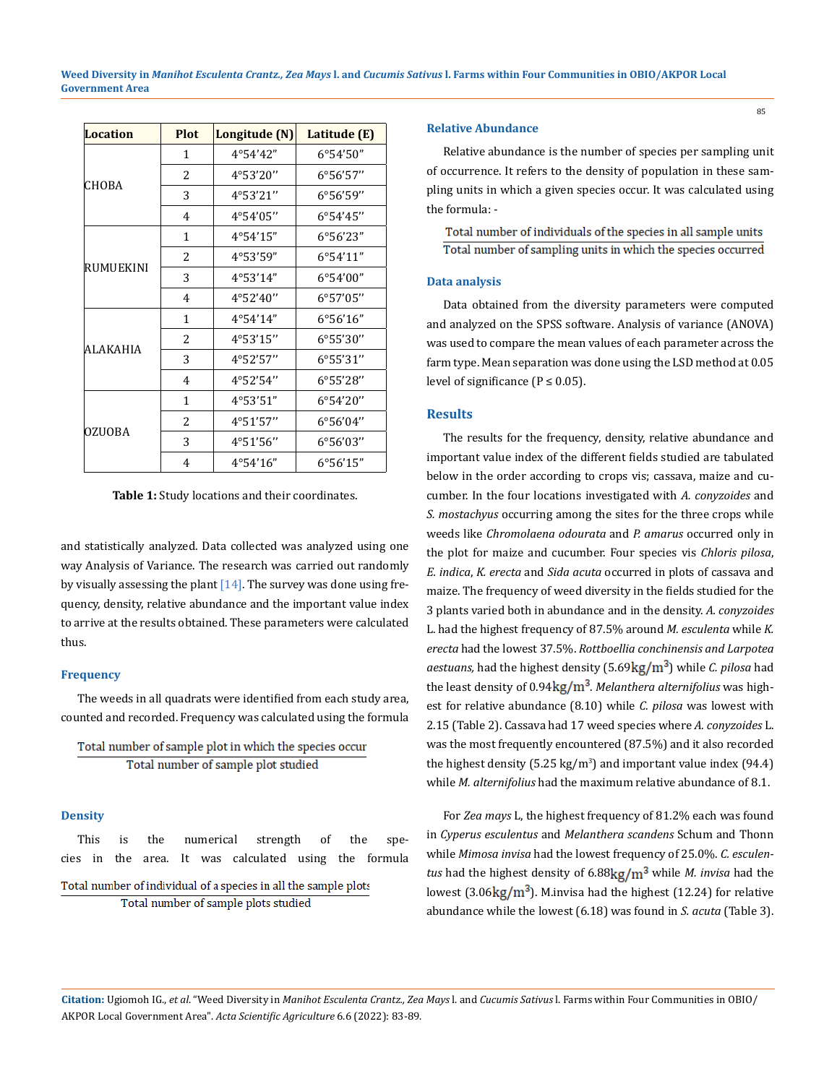| <b>Location</b> | <b>Plot</b> | Longitude (N) | Latitude (E)                            |
|-----------------|-------------|---------------|-----------------------------------------|
|                 | 1           | 4°54'42"      | 6°54'50"                                |
|                 | 2           | 4°53'20"      | 6°56'57"                                |
| CHOBA           | 3           | 4°53'21"      | $6^{\circ}56'59''$                      |
|                 | 4           | 4°54'05"      | 6°54'45"                                |
|                 | 1           | 4°54'15"      | $6^{\circ}56^{\prime}23^{\prime\prime}$ |
|                 | 2           | 4°53'59"      | 6°54'11"                                |
| RUMUEKINI       | 3           | 4°53'14"      | 6°54'00"                                |
|                 | 4           | 4°52'40"      | 6°57'05"                                |
|                 | 1           | 4°54'14"      | $6^{\circ}56'16''$                      |
|                 | 2           | 4°53'15"      | 6°55'30"                                |
| ALAKAHIA        | 3           | 4°52'57"      | 6°55'31"                                |
|                 | 4           | 4°52'54"      | 6°55'28"                                |
| <b>OZUOBA</b>   | 1           | 4°53'51"      | $6^{\circ}54'20''$                      |
|                 | 2           | 4°51'57"      | 6°56'04"                                |
|                 | 3           | 4°51'56"      | 6°56'03"                                |
|                 | 4           | 4°54'16"      | 6°56'15"                                |

**Table 1:** Study locations and their coordinates.

and statistically analyzed. Data collected was analyzed using one way Analysis of Variance. The research was carried out randomly by visually assessing the plant  $[14]$ . The survey was done using frequency, density, relative abundance and the important value index to arrive at the results obtained. These parameters were calculated thus.

# **Frequency**

The weeds in all quadrats were identified from each study area, counted and recorded. Frequency was calculated using the formula

```
Total number of sample plot in which the species occur
Total number of sample plot studied
```
#### **Density**

This is the numerical strength of the species in the area. It was calculated using the formula

```
Total number of individual of a species in all the sample plots
  Total number of sample plots studied
```
## **Relative Abundance**

Relative abundance is the number of species per sampling unit of occurrence. It refers to the density of population in these sampling units in which a given species occur. It was calculated using the formula: -

Total number of individuals of the species in all sample units Total number of sampling units in which the species occurred

## **Data analysis**

Data obtained from the diversity parameters were computed and analyzed on the SPSS software. Analysis of variance (ANOVA) was used to compare the mean values of each parameter across the farm type. Mean separation was done using the LSD method at 0.05 level of significance ( $P \le 0.05$ ).

## **Results**

The results for the frequency, density, relative abundance and important value index of the different fields studied are tabulated below in the order according to crops vis; cassava, maize and cucumber. In the four locations investigated with *A. conyzoides* and *S. mostachyus* occurring among the sites for the three crops while weeds like *Chromolaena odourata* and *P. amarus* occurred only in the plot for maize and cucumber. Four species vis *Chloris pilosa*, *E. indica*, *K. erecta* and *Sida acuta* occurred in plots of cassava and maize. The frequency of weed diversity in the fields studied for the 3 plants varied both in abundance and in the density. *A. conyzoides*  L. had the highest frequency of 87.5% around *M. esculenta* while *K. erecta* had the lowest 37.5%. *Rottboellia conchinensis and Larpotea aestuans, had the highest density* (5.69 kg/m<sup>3</sup>) while *C. pilosa had* the least density of 0.94kg/m<sup>3</sup>. Melanthera alternifolius was highest for relative abundance (8.10) while *C. pilosa* was lowest with 2.15 (Table 2). Cassava had 17 weed species where *A. conyzoides* L. was the most frequently encountered (87.5%) and it also recorded the highest density (5.25  $\text{kg/m}^3$ ) and important value index (94.4) while *M. alternifolius* had the maximum relative abundance of 8.1.

For *Zea mays* L, the highest frequency of 81.2% each was found in *Cyperus esculentus* and *Melanthera scandens* Schum and Thonn while *Mimosa invisa* had the lowest frequency of 25.0%. *C. esculentus* had the highest density of 6.88kg/m<sup>3</sup> while *M. invisa* had the lowest (3.06 $\text{kg/m}^3$ ). M.invisa had the highest (12.24) for relative abundance while the lowest (6.18) was found in *S. acuta* (Table 3).

**Citation:** Ugiomoh IG., *et al*. "Weed Diversity in *Manihot Esculenta Crantz., Zea Mays* l. and *Cucumis Sativus* l. Farms within Four Communities in OBIO/ AKPOR Local Government Area". *Acta Scientific Agriculture* 6.6 (2022): 83-89.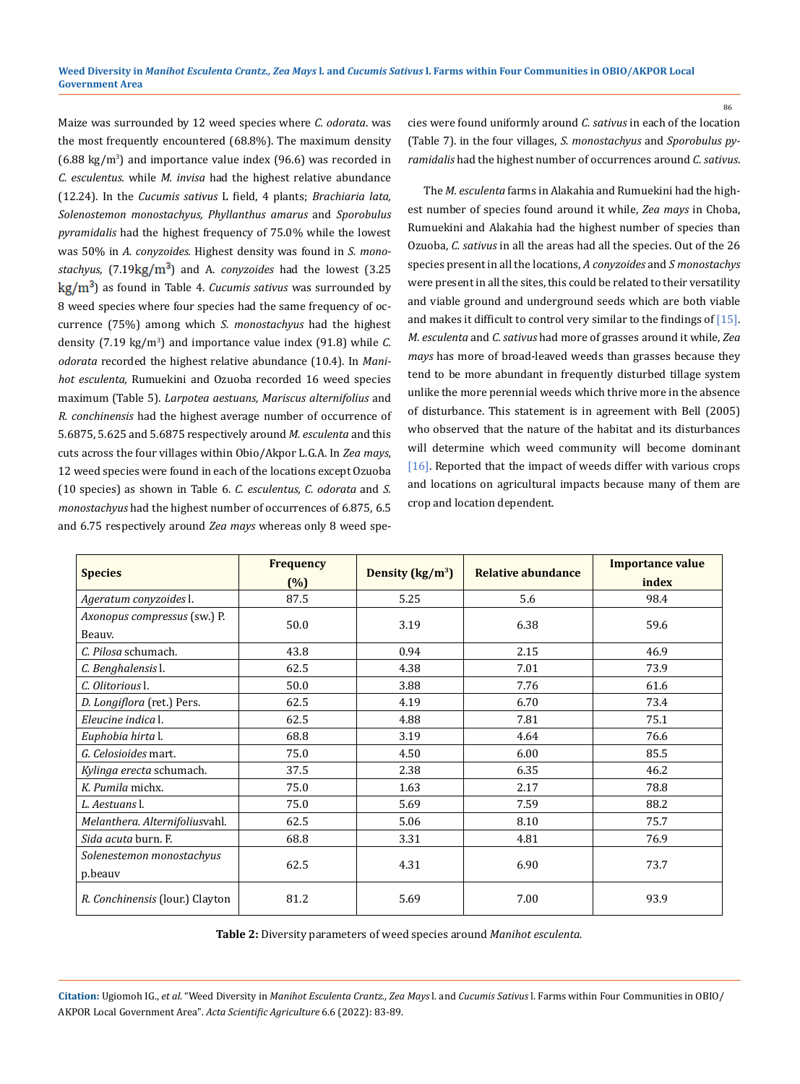Maize was surrounded by 12 weed species where *C. odorata*. was the most frequently encountered (68.8%). The maximum density  $(6.88 \text{ kg/m}^3)$  and importance value index  $(96.6)$  was recorded in *C. esculentus.* while *M. invisa* had the highest relative abundance (12.24). In the *Cucumis sativus* L field, 4 plants; *Brachiaria lata, Solenostemon monostachyus, Phyllanthus amarus* and *Sporobulus pyramidalis* had the highest frequency of 75.0% while the lowest was 50% in *A. conyzoides.* Highest density was found in *S. monostachyus,*  $(7.19 \text{kg/m}^3)$  and A. *conyzoides* had the lowest  $(3.25$ ) as found in Table 4. *Cucumis sativus* was surrounded by 8 weed species where four species had the same frequency of occurrence (75%) among which *S. monostachyus* had the highest density (7.19 kg/m<sup>3</sup> ) and importance value index (91.8) while *C. odorata* recorded the highest relative abundance (10.4). In *Manihot esculenta,* Rumuekini and Ozuoba recorded 16 weed species maximum (Table 5). *Larpotea aestuans, Mariscus alternifolius* and *R. conchinensis* had the highest average number of occurrence of 5.6875, 5.625 and 5.6875 respectively around *M. esculenta* and this cuts across the four villages within Obio/Akpor L.G.A. In *Zea mays,*  12 weed species were found in each of the locations except Ozuoba (10 species) as shown in Table 6. *C. esculentus, C. odorata* and *S. monostachyus* had the highest number of occurrences of 6.875, 6.5 and 6.75 respectively around *Zea mays* whereas only 8 weed species were found uniformly around *C. sativus* in each of the location (Table 7). in the four villages, *S. monostachyus* and *Sporobulus pyramidalis* had the highest number of occurrences around *C. sativus*.

86

The *M. esculenta* farms in Alakahia and Rumuekini had the highest number of species found around it while, *Zea mays* in Choba, Rumuekini and Alakahia had the highest number of species than Ozuoba, *C. sativus* in all the areas had all the species. Out of the 26 species present in all the locations, *A conyzoides* and *S monostachys* were present in all the sites, this could be related to their versatility and viable ground and underground seeds which are both viable and makes it difficult to control very similar to the findings of [15]. *M. esculenta* and *C. sativus* had more of grasses around it while, *Zea mays* has more of broad-leaved weeds than grasses because they tend to be more abundant in frequently disturbed tillage system unlike the more perennial weeds which thrive more in the absence of disturbance. This statement is in agreement with Bell (2005) who observed that the nature of the habitat and its disturbances will determine which weed community will become dominant [16]. Reported that the impact of weeds differ with various crops and locations on agricultural impacts because many of them are crop and location dependent.

| <b>Species</b>                         | <b>Frequency</b><br>(%) | Density (kg/m <sup>3</sup> ) | <b>Relative abundance</b> | <b>Importance value</b><br>index |
|----------------------------------------|-------------------------|------------------------------|---------------------------|----------------------------------|
| Ageratum conyzoides l.                 | 87.5                    | 5.25                         | 5.6                       | 98.4                             |
| Axonopus compressus (sw.) P.<br>Beauv. | 50.0                    | 3.19                         | 6.38                      | 59.6                             |
| C. Pilosa schumach.                    | 43.8                    | 0.94                         | 2.15                      | 46.9                             |
| C. Benghalensis l.                     | 62.5                    | 4.38                         | 7.01                      | 73.9                             |
| C. Olitorious l.                       | 50.0                    | 3.88                         | 7.76                      | 61.6                             |
| D. Longiflora (ret.) Pers.             | 62.5                    | 4.19                         | 6.70                      | 73.4                             |
| Eleucine indica l.                     | 62.5                    | 4.88                         | 7.81                      | 75.1                             |
| Euphobia hirta l.                      | 68.8                    | 3.19                         | 4.64                      | 76.6                             |
| G. Celosioides mart.                   | 75.0                    | 4.50                         | 6.00                      | 85.5                             |
| Kylinga erecta schumach.               | 37.5                    | 2.38                         | 6.35                      | 46.2                             |
| K. Pumila michx.                       | 75.0                    | 1.63                         | 2.17                      | 78.8                             |
| L. Aestuans I.                         | 75.0                    | 5.69                         | 7.59                      | 88.2                             |
| Melanthera. Alternifoliusvahl.         | 62.5                    | 5.06                         | 8.10                      | 75.7                             |
| Sida acuta burn. F.                    | 68.8                    | 3.31                         | 4.81                      | 76.9                             |
| Solenestemon monostachyus<br>p.beauv   | 62.5                    | 4.31                         | 6.90                      | 73.7                             |
| R. Conchinensis (lour.) Clayton        | 81.2                    | 5.69                         | 7.00                      | 93.9                             |

**Table 2:** Diversity parameters of weed species around *Manihot esculenta.*

**Citation:** Ugiomoh IG., *et al*. "Weed Diversity in *Manihot Esculenta Crantz., Zea Mays* l. and *Cucumis Sativus* l. Farms within Four Communities in OBIO/ AKPOR Local Government Area". *Acta Scientific Agriculture* 6.6 (2022): 83-89.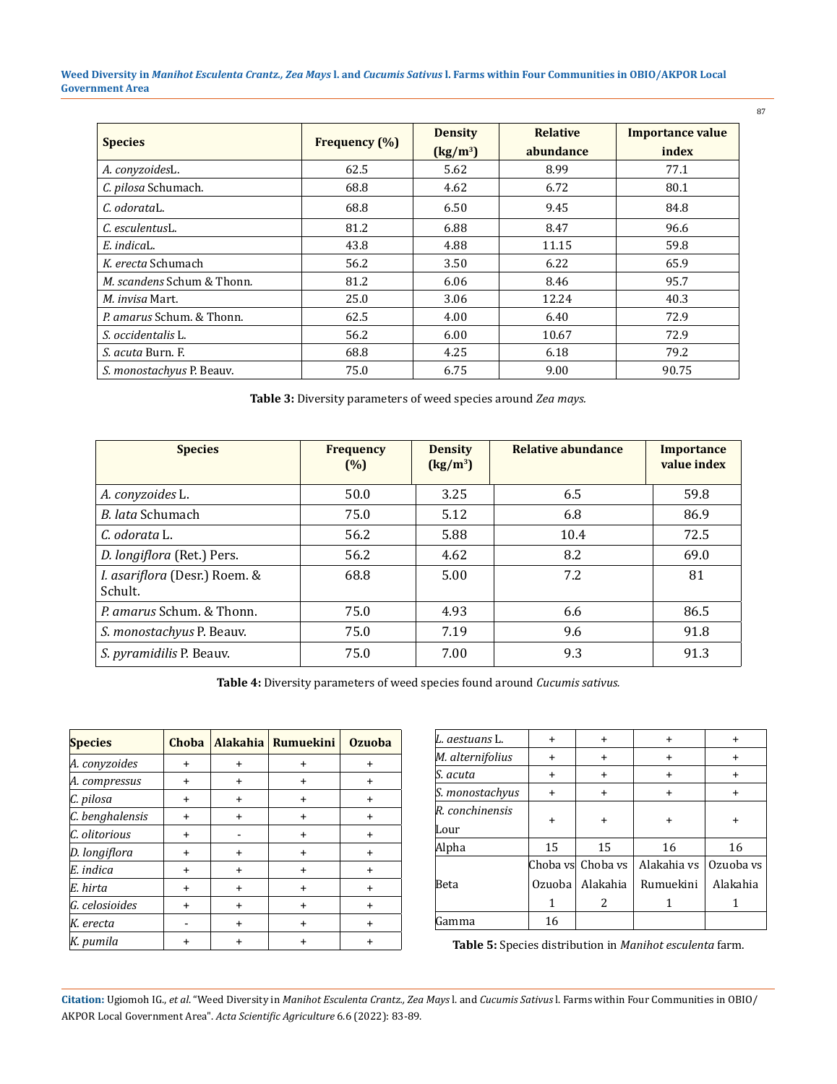**Weed Diversity in** *Manihot Esculenta Crantz., Zea Mays* **l. and** *Cucumis Sativus* **l. Farms within Four Communities in OBIO/AKPOR Local Government Area**

| <b>Species</b>                        |                      | <b>Density</b>              | <b>Relative</b> | <b>Importance value</b> |
|---------------------------------------|----------------------|-----------------------------|-----------------|-------------------------|
|                                       | <b>Frequency</b> (%) | $\left({\rm kg/m^3}\right)$ | abundance       | index                   |
| A. conyzoidesL.                       | 62.5                 | 5.62                        | 8.99            | 77.1                    |
| C. pilosa Schumach.                   | 68.8                 | 4.62                        | 6.72            | 80.1                    |
| C. odorataL.                          | 68.8                 | 6.50                        | 9.45            | 84.8                    |
| C. esculentusL.                       | 81.2                 | 6.88                        | 8.47            | 96.6                    |
| E. indicaL.                           | 43.8                 | 4.88                        | 11.15           | 59.8                    |
| K. erecta Schumach                    | 56.2                 | 3.50                        | 6.22            | 65.9                    |
| <i>M. scandens Schum &amp; Thonn.</i> | 81.2                 | 6.06                        | 8.46            | 95.7                    |
| <i>M. invisa</i> Mart.                | 25.0                 | 3.06                        | 12.24           | 40.3                    |
| P. amarus Schum. & Thonn.             | 62.5                 | 4.00                        | 6.40            | 72.9                    |
| S. occidentalis L.                    | 56.2                 | 6.00                        | 10.67           | 72.9                    |
| <i>S. acuta</i> Burn. F.              | 68.8                 | 4.25                        | 6.18            | 79.2                    |
| S. monostachyus P. Beauv.             | 75.0                 | 6.75                        | 9.00            | 90.75                   |

**Table 3:** Diversity parameters of weed species around *Zea mays.*

| <b>Species</b>                           | <b>Frequency</b><br>(%) | <b>Density</b><br>$\left({\rm kg/m^3}\right)$ | Relative abundance | <b>Importance</b><br>value index |
|------------------------------------------|-------------------------|-----------------------------------------------|--------------------|----------------------------------|
| A. conyzoides L.                         | 50.0                    | 3.25                                          | 6.5                | 59.8                             |
| <i>B. lata</i> Schumach                  | 75.0                    | 5.12                                          | 6.8                | 86.9                             |
| C. odorata L.                            | 56.2                    | 5.88                                          | 10.4               | 72.5                             |
| D. longiflora (Ret.) Pers.               | 56.2                    | 4.62                                          | 8.2                | 69.0                             |
| I. asariflora (Desr.) Roem. &<br>Schult. | 68.8                    | 5.00                                          | 7.2                | 81                               |
| <i>P. amarus</i> Schum. & Thonn.         | 75.0                    | 4.93                                          | 6.6                | 86.5                             |
| S. monostachyus P. Beauv.                | 75.0                    | 7.19                                          | 9.6                | 91.8                             |
| S. pyramidilis P. Beauv.                 | 75.0                    | 7.00                                          | 9.3                | 91.3                             |

**Table 4:** Diversity parameters of weed species found around *Cucumis sativus.*

| <b>Species</b>  | Choba     |   | Alakahia   Rumuekini | <b>Ozuoba</b> |
|-----------------|-----------|---|----------------------|---------------|
| A. conyzoides   | $\ddot{}$ | ÷ | $\ddot{}$            | +             |
| A. compressus   | $\ddot{}$ | ÷ | $\ddot{}$            | +             |
| C. pilosa       | $\ddot{}$ | ÷ | $\ddot{}$            | $\ddot{}$     |
| C. benghalensis | +         | ÷ | $\ddot{}$            | +             |
| C. olitorious   | $\ddot{}$ |   | $\ddot{}$            | +             |
| D. longiflora   | $\ddot{}$ | ÷ | ÷                    | +             |
| E. indica       | +         | ÷ | ÷                    | +             |
| E. hirta        | $\ddot{}$ | ÷ | ÷                    | +             |
| G. celosioides  | +         | ÷ | ÷                    | +             |
| K. erecta       |           | ÷ | $\div$               | $\div$        |
| K. pumila       | +         | + |                      |               |

| L. aestuans L.          | $\ddot{}$ | $\ddot{}$         | ÷           | $\div$    |
|-------------------------|-----------|-------------------|-------------|-----------|
| M. alternifolius        | $\ddot{}$ | $\ddot{}$         | +           | $\ddot{}$ |
| lS. acuta               | $\ddot{}$ | $\ddot{}$         | $\ddot{}$   | $\ddot{}$ |
| S. monostachyus         | $\ddot{}$ | $\ddot{}$         | $\ddot{}$   | $\ddot{}$ |
| R. conchinensis<br>Lour | $\ddot{}$ | $\ddot{}$         | ÷           | +         |
| Alpha                   | 15        | 15                | 16          | 16        |
|                         |           | Choba vs Choba vs | Alakahia vs | Ozuoba vs |
| Beta                    | Ozuoba    | Alakahia          | Rumuekini   | Alakahia  |
|                         |           | 2                 |             |           |
| Gamma                   | 16        |                   |             |           |

**Table 5:** Species distribution in *Manihot esculenta* farm.

**Citation:** Ugiomoh IG., *et al*. "Weed Diversity in *Manihot Esculenta Crantz., Zea Mays* l. and *Cucumis Sativus* l. Farms within Four Communities in OBIO/ AKPOR Local Government Area". *Acta Scientific Agriculture* 6.6 (2022): 83-89.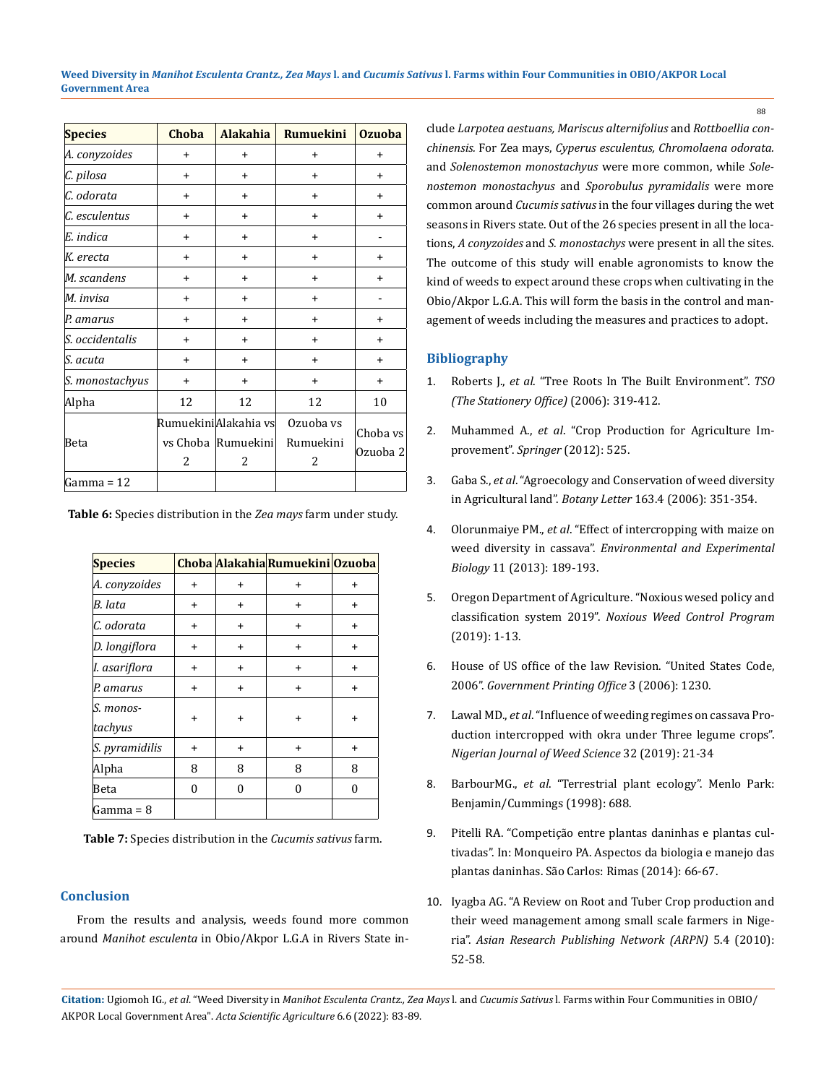| <b>Species</b>  | Choba     | <b>Alakahia</b>                                    | Rumuekini                   | <b>Ozuoba</b>        |
|-----------------|-----------|----------------------------------------------------|-----------------------------|----------------------|
| A. conyzoides   | $\ddot{}$ | $\ddot{}$                                          | +                           | $\ddot{}$            |
| C. pilosa       | $\ddot{}$ | $\ddot{}$                                          | $\ddot{}$                   | $\ddot{}$            |
| C. odorata      | $\ddot{}$ | $\ddot{}$                                          | $\ddot{}$                   | $\ddot{}$            |
| C. esculentus   | $\ddot{}$ | $\ddot{}$                                          | $\ddot{}$                   | $\ddot{}$            |
| E. indica       | $\ddot{}$ | $\ddot{}$                                          | $\ddot{}$                   |                      |
| K. erecta       | $\ddot{}$ | $\ddot{}$                                          | $\ddot{}$                   | $\ddot{}$            |
| M. scandens     | $\ddot{}$ | $\ddot{}$                                          | $\ddot{}$                   | $\ddot{}$            |
| M. invisa       | $\ddot{}$ | $\ddot{}$                                          | $\ddot{}$                   |                      |
| P. amarus       | $\ddot{}$ | $\ddot{}$                                          | $\ddot{}$                   | $+$                  |
| S. occidentalis | $\ddot{}$ | $+$                                                | $\ddot{}$                   | $+$                  |
| S. acuta        | $\ddot{}$ | $\ddot{}$                                          | $\ddot{}$                   | $\ddot{}$            |
| S. monostachyus | $\ddot{}$ | $\ddot{}$                                          | $\ddot{}$                   | $\ddot{}$            |
| Alpha           | 12        | 12                                                 | 12                          | 10                   |
| Beta            | 2         | RumuekiniAlakahia vs<br>vs Choba   Rumuekini <br>2 | Ozuoba vs<br>Rumuekini<br>2 | Choba vs<br>Ozuoba 2 |
| Gamma = 12      |           |                                                    |                             |                      |

**Table 6:** Species distribution in the *Zea mays* farm under study.

| <b>Species</b>       |   |           | Choba Alakahia Rumuekini Ozuoba |          |
|----------------------|---|-----------|---------------------------------|----------|
| A. conyzoides        | + | +         | +                               | +        |
| B. lata              | + | $\ddot{}$ | $\ddot{}$                       | +        |
| C. odorata           | + | $\ddot{}$ | $\ddot{}$                       | +        |
| D. longiflora        | + | $\ddot{}$ | $\ddot{}$                       | +        |
| I. asariflora        | + | +         | $\ddot{}$                       | ÷        |
| P. amarus            | + | $\ddot{}$ | $\ddot{}$                       | +        |
| S. monos-<br>tachyus | + | +         | +                               | +        |
| S. pyramidilis       | + | $\ddot{}$ | $\ddot{}$                       | +        |
| Alpha                | 8 | 8         | 8                               | 8        |
| Beta                 | 0 | $\theta$  | $\theta$                        | $\bf{0}$ |
| Gamma = 8            |   |           |                                 |          |

**Table 7:** Species distribution in the *Cucumis sativus* farm.

#### **Conclusion**

From the results and analysis, weeds found more common around *Manihot esculenta* in Obio/Akpor L.G.A in Rivers State include *Larpotea aestuans, Mariscus alternifolius* and *Rottboellia conchinensis.* For Zea mays, *Cyperus esculentus, Chromolaena odorata.*  and *Solenostemon monostachyus* were more common, while *Solenostemon monostachyus* and *Sporobulus pyramidalis* were more common around *Cucumis sativus* in the four villages during the wet seasons in Rivers state. Out of the 26 species present in all the locations, *A conyzoides* and *S. monostachys* were present in all the sites. The outcome of this study will enable agronomists to know the kind of weeds to expect around these crops when cultivating in the Obio/Akpor L.G.A. This will form the basis in the control and management of weeds including the measures and practices to adopt.

## **Bibliography**

- 1. Roberts J., *et al*[. "Tree Roots In The Built Environment".](https://books.google.co.in/books/about/Tree_Roots_in_the_Built_Environment.html?id=afiZn2h8QjEC&redir_esc=y) *TSO [\(The Stationery Office\)](https://books.google.co.in/books/about/Tree_Roots_in_the_Built_Environment.html?id=afiZn2h8QjEC&redir_esc=y)* (2006): 319-412.
- 2. Muhammed A., *et al*[. "Crop Production for Agriculture Im](https://link.springer.com/book/10.1007/978-94-007-4116-4)[provement".](https://link.springer.com/book/10.1007/978-94-007-4116-4) *Springer* (2012): 525.
- 3. Gaba S., *et al*[. "Agroecology and Conservation of weed diversity](https://www.tandfonline.com/doi/full/10.1080/23818107.2016.1236290) in Agricultural land". *Botany Letter* [163.4 \(2006\): 351-354.](https://www.tandfonline.com/doi/full/10.1080/23818107.2016.1236290)
- 4. Olorunmaiye PM., *et al*[. "Effect of intercropping with maize on](http://eeb.lu.lv/EEB/201312/EEB_11_Olorunmaiye.pdf) weed diversity in cassava". *[Environmental and Experimental](http://eeb.lu.lv/EEB/201312/EEB_11_Olorunmaiye.pdf) Biology* [11 \(2013\): 189-193.](http://eeb.lu.lv/EEB/201312/EEB_11_Olorunmaiye.pdf)
- 5. [Oregon Department of Agriculture. "Noxious wesed policy and](https://www.crooklib.org/sites/default/files/fileattachments/planning_commission/meeting/packets/8706/or_dept_of_agriculture_noxious_weed_policy.pdf)  classification system 2019". *[Noxious Weed Control Program](https://www.crooklib.org/sites/default/files/fileattachments/planning_commission/meeting/packets/8706/or_dept_of_agriculture_noxious_weed_policy.pdf)* [\(2019\): 1-13.](https://www.crooklib.org/sites/default/files/fileattachments/planning_commission/meeting/packets/8706/or_dept_of_agriculture_noxious_weed_policy.pdf)
- 6. [House of US office of the law Revision. "United States Code,](https://www.govinfo.gov/app/collection/uscode) 2006". *[Government Printing Office](https://www.govinfo.gov/app/collection/uscode)* 3 (2006): 1230.
- 7. Lawal MD., *et al*. "Influence of weeding regimes on cassava Production intercropped with okra under Three legume crops". *Nigerian Journal of Weed Science* 32 (2019): 21-34
- 8. BarbourMG., *et al*[. "Terrestrial plant ecology". Menlo Park:](https://books.google.co.in/books/about/Terrestrial_Plant_Ecology.html?id=Ip3wAAAAMAAJ&redir_esc=y)  [Benjamin/Cummings \(1998\): 688.](https://books.google.co.in/books/about/Terrestrial_Plant_Ecology.html?id=Ip3wAAAAMAAJ&redir_esc=y)
- 9. [Pitelli RA. "Competição entre plantas daninhas e plantas cul](https://maissoja.com.br/competicao-entre-plantas-daninhas-e-plantas-cultivadas/)[tivadas". In: Monqueiro PA. Aspectos da biologia e manejo das](https://maissoja.com.br/competicao-entre-plantas-daninhas-e-plantas-cultivadas/)  [plantas daninhas. São Carlos: Rimas \(2014\): 66-67.](https://maissoja.com.br/competicao-entre-plantas-daninhas-e-plantas-cultivadas/)
- 10. [Iyagba AG. "A Review on Root and Tuber Crop production and](https://www.semanticscholar.org/paper/A-review-on-root-and-tuber-crop-production-and-weed-Iyagba/59c99ddebd365617546dc01ebcaf90f48cca4968)  [their weed management among small scale farmers in Nige](https://www.semanticscholar.org/paper/A-review-on-root-and-tuber-crop-production-and-weed-Iyagba/59c99ddebd365617546dc01ebcaf90f48cca4968)ria". *[Asian Research Publishing Network \(ARPN\)](https://www.semanticscholar.org/paper/A-review-on-root-and-tuber-crop-production-and-weed-Iyagba/59c99ddebd365617546dc01ebcaf90f48cca4968)* 5.4 (2010): [52-58.](https://www.semanticscholar.org/paper/A-review-on-root-and-tuber-crop-production-and-weed-Iyagba/59c99ddebd365617546dc01ebcaf90f48cca4968)

**Citation:** Ugiomoh IG., *et al*. "Weed Diversity in *Manihot Esculenta Crantz., Zea Mays* l. and *Cucumis Sativus* l. Farms within Four Communities in OBIO/ AKPOR Local Government Area". *Acta Scientific Agriculture* 6.6 (2022): 83-89.